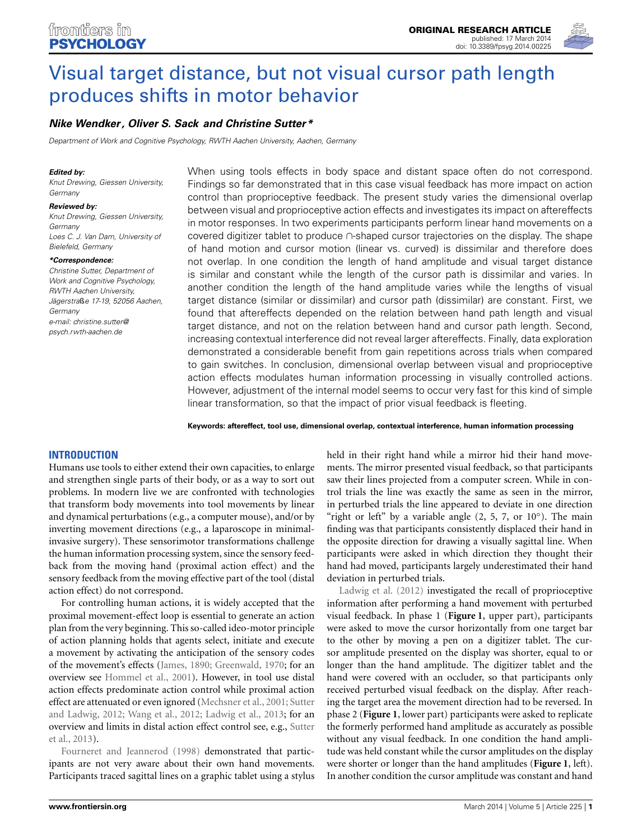

# [Visual target distance, but not visual cursor path length](http://www.frontiersin.org/journal/10.3389/fpsyg.2014.00225/abstract) produces shifts in motor behavior

## *[Nike Wendker](http://community.frontiersin.org/people/u/141620) , [Oliver S. Sack](http://community.frontiersin.org/people/u/141437) and [Christine Sutter\\*](http://community.frontiersin.org/people/u/48140)*

*Department of Work and Cognitive Psychology, RWTH Aachen University, Aachen, Germany*

#### *Edited by:*

*Knut Drewing, Giessen University, Germany*

#### *Reviewed by:*

*Knut Drewing, Giessen University, Germany Loes C. J. Van Dam, University of Bielefeld, Germany*

#### *\*Correspondence:*

*Christine Sutter, Department of Work and Cognitive Psychology, RWTH Aachen University, Jägerstra*ß*e 17-19, 52056 Aachen, Germany e-mail: [christine.sutter@](mailto:christine.sutter@psych.rwth-aachen.de) [psych.rwth-aachen.de](mailto:christine.sutter@psych.rwth-aachen.de)*

When using tools effects in body space and distant space often do not correspond. Findings so far demonstrated that in this case visual feedback has more impact on action control than proprioceptive feedback. The present study varies the dimensional overlap between visual and proprioceptive action effects and investigates its impact on aftereffects in motor responses. In two experiments participants perform linear hand movements on a covered digitizer tablet to produce ∩-shaped cursor trajectories on the display. The shape of hand motion and cursor motion (linear vs. curved) is dissimilar and therefore does not overlap. In one condition the length of hand amplitude and visual target distance is similar and constant while the length of the cursor path is dissimilar and varies. In another condition the length of the hand amplitude varies while the lengths of visual target distance (similar or dissimilar) and cursor path (dissimilar) are constant. First, we found that aftereffects depended on the relation between hand path length and visual target distance, and not on the relation between hand and cursor path length. Second, increasing contextual interference did not reveal larger aftereffects. Finally, data exploration demonstrated a considerable benefit from gain repetitions across trials when compared to gain switches. In conclusion, dimensional overlap between visual and proprioceptive action effects modulates human information processing in visually controlled actions. However, adjustment of the internal model seems to occur very fast for this kind of simple linear transformation, so that the impact of prior visual feedback is fleeting.

**Keywords: aftereffect, tool use, dimensional overlap, contextual interference, human information processing**

## **INTRODUCTION**

Humans use tools to either extend their own capacities, to enlarge and strengthen single parts of their body, or as a way to sort out problems. In modern live we are confronted with technologies that transform body movements into tool movements by linear and dynamical perturbations (e.g., a computer mouse), and/or by inverting movement directions (e.g., a laparoscope in minimalinvasive surgery). These sensorimotor transformations challenge the human information processing system, since the sensory feedback from the moving hand (proximal action effect) and the sensory feedback from the moving effective part of the tool (distal action effect) do not correspond.

For controlling human actions, it is widely accepted that the proximal movement-effect loop is essential to generate an action plan from the very beginning. This so-called ideo-motor principle of action planning holds that agents select, initiate and execute a movement by activating the anticipation of the sensory codes of the movement's effects [\(James](#page-9-0), [1890](#page-9-0); [Greenwald](#page-9-1), [1970;](#page-9-1) for an overview see [Hommel et al., 2001\)](#page-9-2). However, in tool use distal action effects predominate action control while proximal action effect are at[tenuated or even ignored](#page-9-4) [\(Mechsner et al.](#page-9-3)[,](#page-9-4) [2001](#page-9-3)[;](#page-9-4) Sutter and Ladwig, [2012;](#page-9-4) [Wang et al.](#page-9-5), [2012](#page-9-5); [Ladwig et al., 2013](#page-9-6); for an over[view and limits in distal action effect control see, e.g.,](#page-9-7) Sutter [et](#page-9-8) [al.,](#page-9-8) [2013](#page-9-7)[\).](#page-9-8)

[Fourneret and Jeannerod \(1998\)](#page-9-8) demonstrated that participants are not very aware about their own hand movements. Participants traced sagittal lines on a graphic tablet using a stylus held in their right hand while a mirror hid their hand movements. The mirror presented visual feedback, so that participants saw their lines projected from a computer screen. While in control trials the line was exactly the same as seen in the mirror, in perturbed trials the line appeared to deviate in one direction "right or left" by a variable angle  $(2, 5, 7, 0r 10°)$ . The main finding was that participants consistently displaced their hand in the opposite direction for drawing a visually sagittal line. When participants were asked in which direction they thought their hand had moved, participants largely underestimated their hand deviation in perturbed trials.

[Ladwig et al.](#page-9-9) [\(2012](#page-9-9)) investigated the recall of proprioceptive information after performing a hand movement with perturbed visual feedback. In phase 1 (**[Figure 1](#page-1-0)**, upper part), participants were asked to move the cursor horizontally from one target bar to the other by moving a pen on a digitizer tablet. The cursor amplitude presented on the display was shorter, equal to or longer than the hand amplitude. The digitizer tablet and the hand were covered with an occluder, so that participants only received perturbed visual feedback on the display. After reaching the target area the movement direction had to be reversed. In phase 2 (**[Figure 1](#page-1-0)**, lower part) participants were asked to replicate the formerly performed hand amplitude as accurately as possible without any visual feedback. In one condition the hand amplitude was held constant while the cursor amplitudes on the display were shorter or longer than the hand amplitudes (**[Figure 1](#page-1-0)**, left). In another condition the cursor amplitude was constant and hand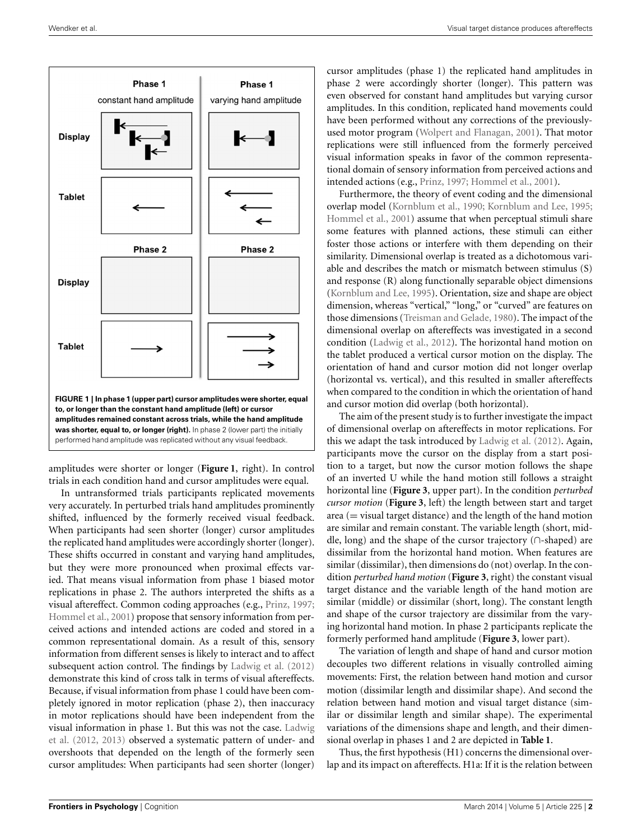

<span id="page-1-0"></span>amplitudes were shorter or longer (**[Figure 1](#page-1-0)**, right). In control trials in each condition hand and cursor amplitudes were equal.

In untransformed trials participants replicated movements very accurately. In perturbed trials hand amplitudes prominently shifted, influenced by the formerly received visual feedback. When participants had seen shorter (longer) cursor amplitudes the replicated hand amplitudes were accordingly shorter (longer). These shifts occurred in constant and varying hand amplitudes, but they were more pronounced when proximal effects varied. That means visual information from phase 1 biased motor replications in phase 2. The authors interpreted the shifts as a visual aftereffect. Common coding approaches (e.g., [Prinz, 1997;](#page-9-10) [Hommel et al., 2001](#page-9-2)) propose that sensory information from perceived actions and intended actions are coded and stored in a common representational domain. As a result of this, sensory information from different senses is likely to interact and to affect subsequent action control. The findings by [Ladwig et al.](#page-9-9) [\(2012](#page-9-9)) demonstrate this kind of cross talk in terms of visual aftereffects. Because, if visual information from phase 1 could have been completely ignored in motor replication (phase 2), then inaccuracy in motor replications should have been independent from the visu[al information in phase 1. But this was not the case.](#page-9-9) Ladwig et al. [\(2012](#page-9-9), [2013\)](#page-9-6) observed a systematic pattern of under- and overshoots that depended on the length of the formerly seen cursor amplitudes: When participants had seen shorter (longer)

cursor amplitudes (phase 1) the replicated hand amplitudes in phase 2 were accordingly shorter (longer). This pattern was even observed for constant hand amplitudes but varying cursor amplitudes. In this condition, replicated hand movements could have been performed without any corrections of the previouslyused motor program [\(Wolpert and Flanagan, 2001\)](#page-9-11). That motor replications were still influenced from the formerly perceived visual information speaks in favor of the common representational domain of sensory information from perceived actions and intended actions (e.g., [Prinz, 1997](#page-9-10); [Hommel et al.](#page-9-2), [2001\)](#page-9-2).

Furthermore, the theory of event coding and the dimensional overlap model [\(Kornblum et al.](#page-9-12), [1990;](#page-9-12) [Kornblum and Lee](#page-9-13), [1995](#page-9-13); [Hommel et al., 2001](#page-9-2)) assume that when perceptual stimuli share some features with planned actions, these stimuli can either foster those actions or interfere with them depending on their similarity. Dimensional overlap is treated as a dichotomous variable and describes the match or mismatch between stimulus (S) and response (R) along functionally separable object dimensions [\(Kornblum and Lee, 1995](#page-9-13)). Orientation, size and shape are object dimension, whereas "vertical," "long," or "curved" are features on those dimensions [\(Treisman and Gelade, 1980\)](#page-9-14). The impact of the dimensional overlap on aftereffects was investigated in a second condition [\(Ladwig et al.](#page-9-9), [2012](#page-9-9)). The horizontal hand motion on the tablet produced a vertical cursor motion on the display. The orientation of hand and cursor motion did not longer overlap (horizontal vs. vertical), and this resulted in smaller aftereffects when compared to the condition in which the orientation of hand and cursor motion did overlap (both horizontal).

The aim of the present study is to further investigate the impact of dimensional overlap on aftereffects in motor replications. For this we adapt the task introduced by [Ladwig et al.](#page-9-9) [\(2012\)](#page-9-9). Again, participants move the cursor on the display from a start position to a target, but now the cursor motion follows the shape of an inverted U while the hand motion still follows a straight horizontal line (**[Figure 3](#page-3-0)**, upper part). In the condition *perturbed cursor motion* (**[Figure 3](#page-3-0)**, left) the length between start and target area (= visual target distance) and the length of the hand motion are similar and remain constant. The variable length (short, middle, long) and the shape of the cursor trajectory (∩-shaped) are dissimilar from the horizontal hand motion. When features are similar (dissimilar), then dimensions do (not) overlap. In the condition *perturbed hand motion* (**[Figure 3](#page-3-0)**, right) the constant visual target distance and the variable length of the hand motion are similar (middle) or dissimilar (short, long). The constant length and shape of the cursor trajectory are dissimilar from the varying horizontal hand motion. In phase 2 participants replicate the formerly performed hand amplitude (**[Figure 3](#page-3-0)**, lower part).

The variation of length and shape of hand and cursor motion decouples two different relations in visually controlled aiming movements: First, the relation between hand motion and cursor motion (dissimilar length and dissimilar shape). And second the relation between hand motion and visual target distance (similar or dissimilar length and similar shape). The experimental variations of the dimensions shape and length, and their dimensional overlap in phases 1 and 2 are depicted in **[Table 1](#page-2-0)**.

Thus, the first hypothesis (H1) concerns the dimensional overlap and its impact on aftereffects. H1a: If it is the relation between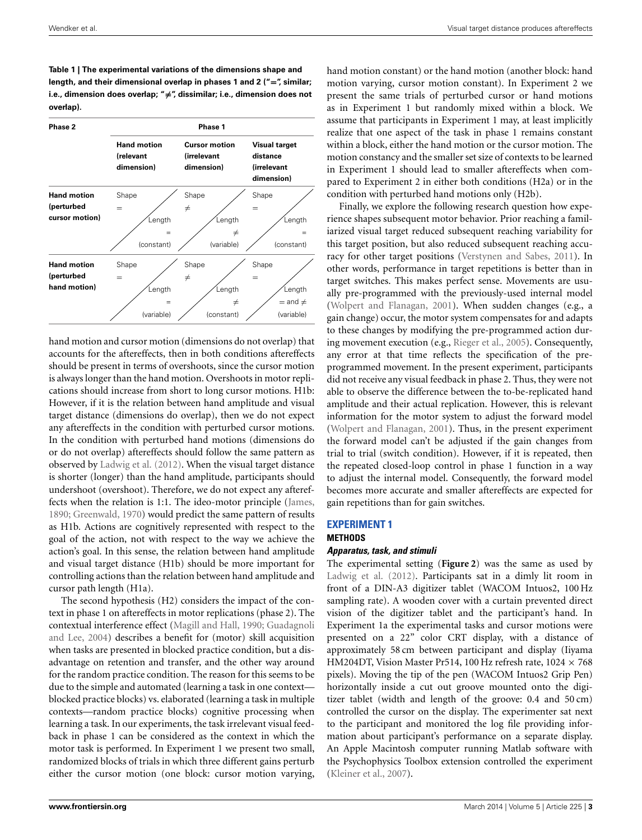<span id="page-2-0"></span>**Table 1 | The experimental variations of the dimensions shape and length, and their dimensional overlap in phases 1 and 2 ("=", similar; i.e., dimension does overlap; "-=", dissimilar; i.e., dimension does not overlap).**



hand motion and cursor motion (dimensions do not overlap) that accounts for the aftereffects, then in both conditions aftereffects should be present in terms of overshoots, since the cursor motion is always longer than the hand motion. Overshoots in motor replications should increase from short to long cursor motions. H1b: However, if it is the relation between hand amplitude and visual target distance (dimensions do overlap), then we do not expect any aftereffects in the condition with perturbed cursor motions. In the condition with perturbed hand motions (dimensions do or do not overlap) aftereffects should follow the same pattern as observed by [Ladwig et al.](#page-9-9) [\(2012\)](#page-9-9). When the visual target distance is shorter (longer) than the hand amplitude, participants should undershoot (overshoot). Therefore, we do not expect any aftereffects when the relation is 1:1. The ideo-motor principle [\(James,](#page-9-0) [1890](#page-9-0); [Greenwald, 1970](#page-9-1)) would predict the same pattern of results as H1b. Actions are cognitively represented with respect to the goal of the action, not with respect to the way we achieve the action's goal. In this sense, the relation between hand amplitude and visual target distance (H1b) should be more important for controlling actions than the relation between hand amplitude and cursor path length (H1a).

The second hypothesis (H2) considers the impact of the context in phase 1 on aftereffects in motor replications (phase 2). The context[ual interference effect](#page-9-16) [\(Magill and Hall](#page-9-15)[,](#page-9-16) [1990](#page-9-15)[;](#page-9-16) Guadagnoli and Lee, [2004\)](#page-9-16) describes a benefit for (motor) skill acquisition when tasks are presented in blocked practice condition, but a disadvantage on retention and transfer, and the other way around for the random practice condition. The reason for this seems to be due to the simple and automated (learning a task in one context blocked practice blocks) vs. elaborated (learning a task in multiple contexts—random practice blocks) cognitive processing when learning a task. In our experiments, the task irrelevant visual feedback in phase 1 can be considered as the context in which the motor task is performed. In Experiment 1 we present two small, randomized blocks of trials in which three different gains perturb either the cursor motion (one block: cursor motion varying,

hand motion constant) or the hand motion (another block: hand motion varying, cursor motion constant). In Experiment 2 we present the same trials of perturbed cursor or hand motions as in Experiment 1 but randomly mixed within a block. We assume that participants in Experiment 1 may, at least implicitly realize that one aspect of the task in phase 1 remains constant within a block, either the hand motion or the cursor motion. The motion constancy and the smaller set size of contexts to be learned in Experiment 1 should lead to smaller aftereffects when compared to Experiment 2 in either both conditions (H2a) or in the condition with perturbed hand motions only (H2b).

Finally, we explore the following research question how experience shapes subsequent motor behavior. Prior reaching a familiarized visual target reduced subsequent reaching variability for this target position, but also reduced subsequent reaching accuracy for other target positions [\(Verstynen and Sabes](#page-9-17), [2011](#page-9-17)). In other words, performance in target repetitions is better than in target switches. This makes perfect sense. Movements are usually pre-programmed with the previously-used internal model [\(Wolpert and Flanagan, 2001\)](#page-9-11). When sudden changes (e.g., a gain change) occur, the motor system compensates for and adapts to these changes by modifying the pre-programmed action during movement execution (e.g., [Rieger et al., 2005\)](#page-9-18). Consequently, any error at that time reflects the specification of the preprogrammed movement. In the present experiment, participants did not receive any visual feedback in phase 2. Thus, they were not able to observe the difference between the to-be-replicated hand amplitude and their actual replication. However, this is relevant information for the motor system to adjust the forward model [\(Wolpert and Flanagan, 2001](#page-9-11)). Thus, in the present experiment the forward model can't be adjusted if the gain changes from trial to trial (switch condition). However, if it is repeated, then the repeated closed-loop control in phase 1 function in a way to adjust the internal model. Consequently, the forward model becomes more accurate and smaller aftereffects are expected for gain repetitions than for gain switches.

## **EXPERIMENT 1**

**METHODS**

#### *Apparatus, task, and stimuli*

The experimental setting (**[Figure 2](#page-3-1)**) was the same as used by [Ladwig et al.](#page-9-9) [\(2012\)](#page-9-9). Participants sat in a dimly lit room in front of a DIN-A3 digitizer tablet (WACOM Intuos2, 100 Hz sampling rate). A wooden cover with a curtain prevented direct vision of the digitizer tablet and the participant's hand. In Experiment 1a the experimental tasks and cursor motions were presented on a 22" color CRT display, with a distance of approximately 58 cm between participant and display (Iiyama HM204DT, Vision Master Pr514, 100 Hz refresh rate,  $1024 \times 768$ pixels). Moving the tip of the pen (WACOM Intuos2 Grip Pen) horizontally inside a cut out groove mounted onto the digitizer tablet (width and length of the groove: 0.4 and 50 cm) controlled the cursor on the display. The experimenter sat next to the participant and monitored the log file providing information about participant's performance on a separate display. An Apple Macintosh computer running Matlab software with the Psychophysics Toolbox extension controlled the experiment [\(Kleiner et al., 2007](#page-9-19)).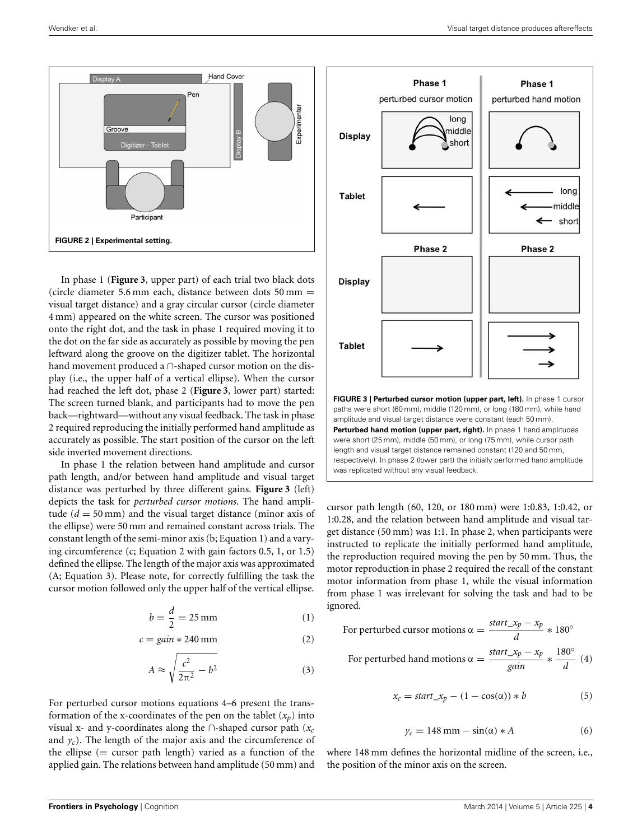

<span id="page-3-1"></span>In phase 1 (**[Figure 3](#page-3-0)**, upper part) of each trial two black dots (circle diameter 5.6 mm each, distance between dots  $50 \text{ mm} =$ visual target distance) and a gray circular cursor (circle diameter 4 mm) appeared on the white screen. The cursor was positioned onto the right dot, and the task in phase 1 required moving it to the dot on the far side as accurately as possible by moving the pen leftward along the groove on the digitizer tablet. The horizontal hand movement produced a ∩-shaped cursor motion on the display (i.e., the upper half of a vertical ellipse). When the cursor had reached the left dot, phase 2 (**[Figure 3](#page-3-0)**, lower part) started: The screen turned blank, and participants had to move the pen back—rightward—without any visual feedback. The task in phase 2 required reproducing the initially performed hand amplitude as accurately as possible. The start position of the cursor on the left side inverted movement directions.

In phase 1 the relation between hand amplitude and cursor path length, and/or between hand amplitude and visual target distance was perturbed by three different gains. **[Figure 3](#page-3-0)** (left) depicts the task for *perturbed cursor motions*. The hand amplitude  $(d = 50 \text{ mm})$  and the visual target distance (minor axis of the ellipse) were 50 mm and remained constant across trials. The constant length of the semi-minor axis (b; Equation 1) and a varying circumference (c; Equation 2 with gain factors 0.5, 1, or 1.5) defined the ellipse. The length of the major axis was approximated (A; Equation 3). Please note, for correctly fulfilling the task the cursor motion followed only the upper half of the vertical ellipse.

$$
b = \frac{d}{2} = 25 \,\mathrm{mm} \tag{1}
$$

$$
c = gain * 240 \,\mathrm{mm} \tag{2}
$$

$$
A \approx \sqrt{\frac{c^2}{2\pi^2} - b^2} \tag{3}
$$

For perturbed cursor motions equations 4–6 present the transformation of the x-coordinates of the pen on the tablet  $(x_p)$  into visual x- and y-coordinates along the ∩-shaped cursor path (*xc* and  $y_c$ ). The length of the major axis and the circumference of the ellipse  $(=$  cursor path length) varied as a function of the applied gain. The relations between hand amplitude (50 mm) and



<span id="page-3-0"></span>were short (25 mm), middle (50 mm), or long (75 mm), while cursor path length and visual target distance remained constant (120 and 50 mm, respectively). In phase 2 (lower part) the initially performed hand amplitude was replicated without any visual feedback.

cursor path length (60, 120, or 180 mm) were 1:0.83, 1:0.42, or 1:0.28, and the relation between hand amplitude and visual target distance (50 mm) was 1:1. In phase 2, when participants were instructed to replicate the initially performed hand amplitude, the reproduction required moving the pen by 50 mm. Thus, the motor reproduction in phase 2 required the recall of the constant motor information from phase 1, while the visual information from phase 1 was irrelevant for solving the task and had to be ignored.

For perturbed cursor motions 
$$
\alpha = \frac{\text{start\_x}_p - x_p}{d} * 180^\circ
$$
  
For perturbed hand motions  $\alpha = \frac{\text{start\_x}_p - x_p}{\text{gain}} * \frac{180^\circ}{d}$  (4)

$$
x_c = start\_x_p - (1 - \cos(\alpha)) * b \tag{5}
$$

$$
y_c = 148 \text{ mm} - \sin(\alpha) * A \tag{6}
$$

where 148 mm defines the horizontal midline of the screen, i.e., the position of the minor axis on the screen.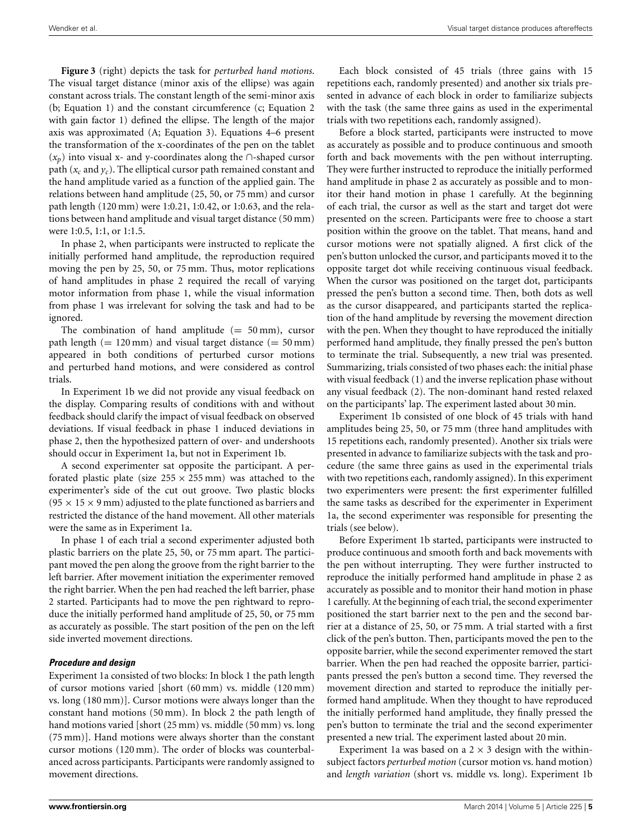**[Figure 3](#page-3-0)** (right) depicts the task for *perturbed hand motions*. The visual target distance (minor axis of the ellipse) was again constant across trials. The constant length of the semi-minor axis (b; Equation 1) and the constant circumference (c; Equation 2 with gain factor 1) defined the ellipse. The length of the major axis was approximated (A; Equation 3). Equations 4–6 present the transformation of the x-coordinates of the pen on the tablet (*xp*) into visual x- and y-coordinates along the ∩-shaped cursor path  $(x_c$  and  $y_c$ ). The elliptical cursor path remained constant and the hand amplitude varied as a function of the applied gain. The relations between hand amplitude (25, 50, or 75 mm) and cursor path length (120 mm) were 1:0.21, 1:0.42, or 1:0.63, and the relations between hand amplitude and visual target distance (50 mm) were 1:0.5, 1:1, or 1:1.5.

In phase 2, when participants were instructed to replicate the initially performed hand amplitude, the reproduction required moving the pen by 25, 50, or 75 mm. Thus, motor replications of hand amplitudes in phase 2 required the recall of varying motor information from phase 1, while the visual information from phase 1 was irrelevant for solving the task and had to be ignored.

The combination of hand amplitude  $(= 50 \text{ mm})$ , cursor path length  $(= 120 \text{ mm})$  and visual target distance  $(= 50 \text{ mm})$ appeared in both conditions of perturbed cursor motions and perturbed hand motions, and were considered as control trials.

In Experiment 1b we did not provide any visual feedback on the display. Comparing results of conditions with and without feedback should clarify the impact of visual feedback on observed deviations. If visual feedback in phase 1 induced deviations in phase 2, then the hypothesized pattern of over- and undershoots should occur in Experiment 1a, but not in Experiment 1b.

A second experimenter sat opposite the participant. A perforated plastic plate (size  $255 \times 255$  mm) was attached to the experimenter's side of the cut out groove. Two plastic blocks  $(95 \times 15 \times 9 \text{ mm})$  adjusted to the plate functioned as barriers and restricted the distance of the hand movement. All other materials were the same as in Experiment 1a.

In phase 1 of each trial a second experimenter adjusted both plastic barriers on the plate 25, 50, or 75 mm apart. The participant moved the pen along the groove from the right barrier to the left barrier. After movement initiation the experimenter removed the right barrier. When the pen had reached the left barrier, phase 2 started. Participants had to move the pen rightward to reproduce the initially performed hand amplitude of 25, 50, or 75 mm as accurately as possible. The start position of the pen on the left side inverted movement directions.

#### *Procedure and design*

Experiment 1a consisted of two blocks: In block 1 the path length of cursor motions varied [short (60 mm) vs. middle (120 mm) vs. long (180 mm)]. Cursor motions were always longer than the constant hand motions (50 mm). In block 2 the path length of hand motions varied [short (25 mm) vs. middle (50 mm) vs. long (75 mm)]. Hand motions were always shorter than the constant cursor motions (120 mm). The order of blocks was counterbalanced across participants. Participants were randomly assigned to movement directions.

Each block consisted of 45 trials (three gains with 15 repetitions each, randomly presented) and another six trials presented in advance of each block in order to familiarize subjects with the task (the same three gains as used in the experimental trials with two repetitions each, randomly assigned).

Before a block started, participants were instructed to move as accurately as possible and to produce continuous and smooth forth and back movements with the pen without interrupting. They were further instructed to reproduce the initially performed hand amplitude in phase 2 as accurately as possible and to monitor their hand motion in phase 1 carefully. At the beginning of each trial, the cursor as well as the start and target dot were presented on the screen. Participants were free to choose a start position within the groove on the tablet. That means, hand and cursor motions were not spatially aligned. A first click of the pen's button unlocked the cursor, and participants moved it to the opposite target dot while receiving continuous visual feedback. When the cursor was positioned on the target dot, participants pressed the pen's button a second time. Then, both dots as well as the cursor disappeared, and participants started the replication of the hand amplitude by reversing the movement direction with the pen. When they thought to have reproduced the initially performed hand amplitude, they finally pressed the pen's button to terminate the trial. Subsequently, a new trial was presented. Summarizing, trials consisted of two phases each: the initial phase with visual feedback (1) and the inverse replication phase without any visual feedback (2). The non-dominant hand rested relaxed on the participants' lap. The experiment lasted about 30 min.

Experiment 1b consisted of one block of 45 trials with hand amplitudes being 25, 50, or 75 mm (three hand amplitudes with 15 repetitions each, randomly presented). Another six trials were presented in advance to familiarize subjects with the task and procedure (the same three gains as used in the experimental trials with two repetitions each, randomly assigned). In this experiment two experimenters were present: the first experimenter fulfilled the same tasks as described for the experimenter in Experiment 1a, the second experimenter was responsible for presenting the trials (see below).

Before Experiment 1b started, participants were instructed to produce continuous and smooth forth and back movements with the pen without interrupting. They were further instructed to reproduce the initially performed hand amplitude in phase 2 as accurately as possible and to monitor their hand motion in phase 1 carefully. At the beginning of each trial, the second experimenter positioned the start barrier next to the pen and the second barrier at a distance of 25, 50, or 75 mm. A trial started with a first click of the pen's button. Then, participants moved the pen to the opposite barrier, while the second experimenter removed the start barrier. When the pen had reached the opposite barrier, participants pressed the pen's button a second time. They reversed the movement direction and started to reproduce the initially performed hand amplitude. When they thought to have reproduced the initially performed hand amplitude, they finally pressed the pen's button to terminate the trial and the second experimenter presented a new trial. The experiment lasted about 20 min.

Experiment 1a was based on a  $2 \times 3$  design with the withinsubject factors *perturbed motion* (cursor motion vs. hand motion) and *length variation* (short vs. middle vs. long). Experiment 1b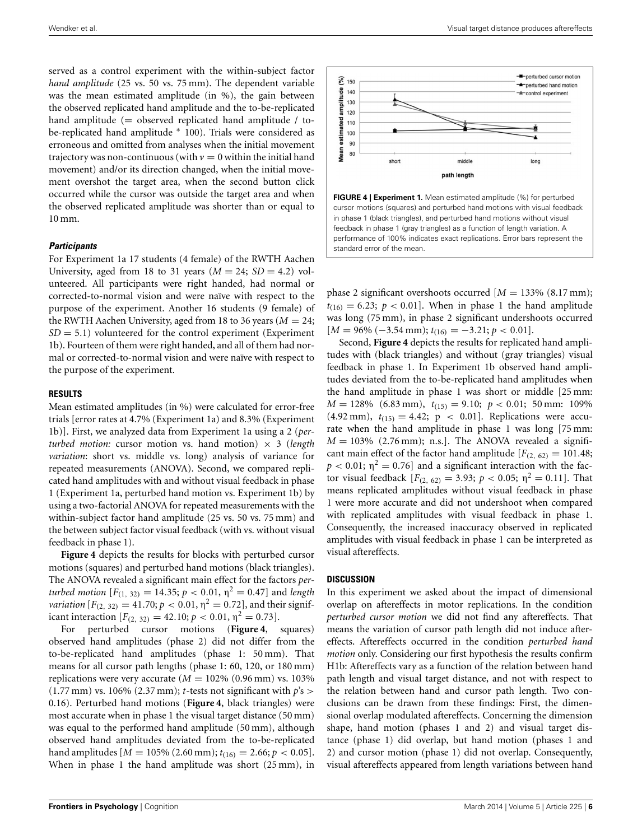served as a control experiment with the within-subject factor *hand amplitude* (25 vs. 50 vs. 75 mm). The dependent variable was the mean estimated amplitude (in %), the gain between the observed replicated hand amplitude and the to-be-replicated hand amplitude (= observed replicated hand amplitude / tobe-replicated hand amplitude ∗ 100). Trials were considered as erroneous and omitted from analyses when the initial movement trajectory was non-continuous (with  $v = 0$  within the initial hand movement) and/or its direction changed, when the initial movement overshot the target area, when the second button click occurred while the cursor was outside the target area and when the observed replicated amplitude was shorter than or equal to 10 mm.

## *Participants*

For Experiment 1a 17 students (4 female) of the RWTH Aachen University, aged from 18 to 31 years  $(M = 24; SD = 4.2)$  volunteered. All participants were right handed, had normal or corrected-to-normal vision and were naïve with respect to the purpose of the experiment. Another 16 students (9 female) of the RWTH Aachen University, aged from 18 to 36 years ( $M = 24$ ;  $SD = 5.1$ ) volunteered for the control experiment (Experiment) 1b). Fourteen of them were right handed, and all of them had normal or corrected-to-normal vision and were naïve with respect to the purpose of the experiment.

#### **RESULTS**

Mean estimated amplitudes (in %) were calculated for error-free trials [error rates at 4.7% (Experiment 1a) and 8.3% (Experiment 1b)]. First, we analyzed data from Experiment 1a using a 2 (*perturbed motion:* cursor motion vs. hand motion)  $\times$  3 (*length variation*: short vs. middle vs. long) analysis of variance for repeated measurements (ANOVA). Second, we compared replicated hand amplitudes with and without visual feedback in phase 1 (Experiment 1a, perturbed hand motion vs. Experiment 1b) by using a two-factorial ANOVA for repeated measurements with the within-subject factor hand amplitude (25 vs. 50 vs. 75 mm) and the between subject factor visual feedback (with vs. without visual feedback in phase 1).

**[Figure 4](#page-5-0)** depicts the results for blocks with perturbed cursor motions (squares) and perturbed hand motions (black triangles). The ANOVA revealed a significant main effect for the factors *perturbed motion*  $[F_{(1, 32)} = 14.35; p < 0.01, \eta^2 = 0.47]$  and *length variation*  $[F_{(2, 32)} = 41.70; p < 0.01, \eta^2 = 0.72]$ , and their significant interaction  $[F_{(2, 32)} = 42.10; p < 0.01, \eta^2 = 0.73]$ .<br>For perturbed cursor motions (**Figure 4**, squares)

For perturbed cursor motions (**[Figure 4](#page-5-0)**, observed hand amplitudes (phase 2) did not differ from the to-be-replicated hand amplitudes (phase 1: 50 mm). That means for all cursor path lengths (phase 1: 60, 120, or 180 mm) replications were very accurate ( $M = 102\%$  (0.96 mm) vs. 103%  $(1.77 \text{ mm})$  vs. 106%  $(2.37 \text{ mm})$ ; *t*-tests not significant with  $p$ 's > 0.16). Perturbed hand motions (**[Figure 4](#page-5-0)**, black triangles) were most accurate when in phase 1 the visual target distance (50 mm) was equal to the performed hand amplitude (50 mm), although observed hand amplitudes deviated from the to-be-replicated hand amplitudes  $[M = 105\% (2.60 \text{ mm}); t_{(16)} = 2.66; p < 0.05]$ . When in phase 1 the hand amplitude was short (25 mm), in



<span id="page-5-0"></span>

phase 2 significant overshoots occurred  $[M = 133\% (8.17 \text{ mm});$  $t_{(16)} = 6.23$ ;  $p < 0.01$ ]. When in phase 1 the hand amplitude was long (75 mm), in phase 2 significant undershoots occurred [*M* = 96% (−3.54 mm); *t*(16) = −3.21; *p* < 0.01].

Second, **[Figure 4](#page-5-0)** depicts the results for replicated hand amplitudes with (black triangles) and without (gray triangles) visual feedback in phase 1. In Experiment 1b observed hand amplitudes deviated from the to-be-replicated hand amplitudes when the hand amplitude in phase 1 was short or middle [25 mm:  $M = 128\%$  (6.83 mm),  $t_{(15)} = 9.10$ ;  $p < 0.01$ ; 50 mm: 109%  $(4.92 \text{ mm})$ ,  $t_{(15)} = 4.42$ ;  $p < 0.01$ ]. Replications were accurate when the hand amplitude in phase 1 was long [75 mm:  $M = 103\%$  (2.76 mm); n.s.]. The ANOVA revealed a significant main effect of the factor hand amplitude  $[F_{(2, 62)} = 101.48;$  $p < 0.01$ ;  $\eta^2 = 0.76$ ] and a significant interaction with the factor visual feedback  $[F_{(2, 62)} = 3.93; p < 0.05; \eta^2 = 0.11]$ . That means replicated amplitudes without visual feedback in phase 1 were more accurate and did not undershoot when compared with replicated amplitudes with visual feedback in phase 1. Consequently, the increased inaccuracy observed in replicated amplitudes with visual feedback in phase 1 can be interpreted as visual aftereffects.

#### **DISCUSSION**

In this experiment we asked about the impact of dimensional overlap on aftereffects in motor replications. In the condition *perturbed cursor motion* we did not find any aftereffects. That means the variation of cursor path length did not induce aftereffects. Aftereffects occurred in the condition *perturbed hand motion* only. Considering our first hypothesis the results confirm H1b: Aftereffects vary as a function of the relation between hand path length and visual target distance, and not with respect to the relation between hand and cursor path length. Two conclusions can be drawn from these findings: First, the dimensional overlap modulated aftereffects. Concerning the dimension shape, hand motion (phases 1 and 2) and visual target distance (phase 1) did overlap, but hand motion (phases 1 and 2) and cursor motion (phase 1) did not overlap. Consequently, visual aftereffects appeared from length variations between hand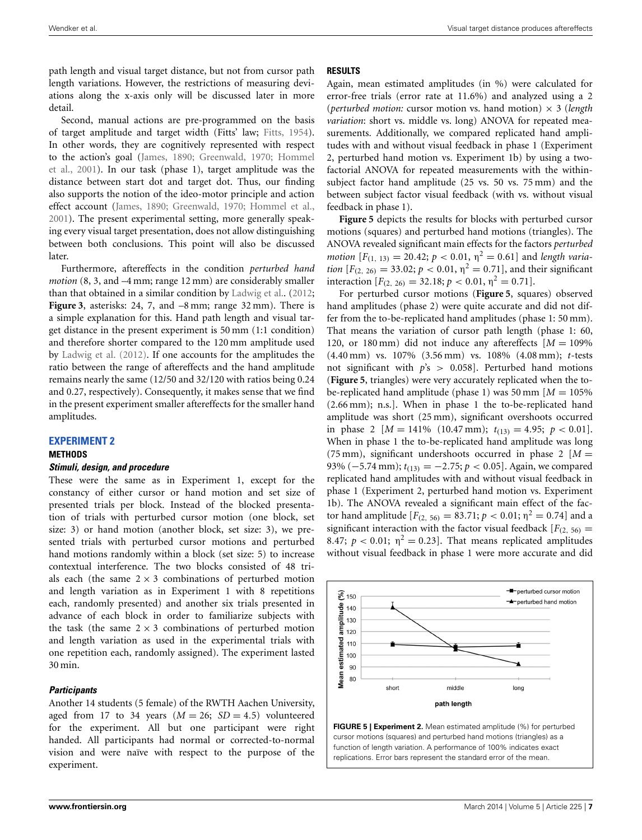path length and visual target distance, but not from cursor path length variations. However, the restrictions of measuring deviations along the x-axis only will be discussed later in more detail.

Second, manual actions are pre-programmed on the basis of target amplitude and target width (Fitts' law; [Fitts](#page-9-20), [1954](#page-9-20)). In other words, they are cognitively represented with respect to t[he action's goal](#page-9-2) [\(James](#page-9-0)[,](#page-9-2) [1890](#page-9-0)[;](#page-9-2) [Greenwald](#page-9-1)[,](#page-9-2) [1970](#page-9-1)[;](#page-9-2) Hommel et al., [2001\)](#page-9-2). In our task (phase 1), target amplitude was the distance between start dot and target dot. Thus, our finding also supports the notion of the ideo-motor principle and action effect account [\(James](#page-9-0), [1890;](#page-9-0) [Greenwald](#page-9-1), [1970;](#page-9-1) [Hommel et al.,](#page-9-2) [2001](#page-9-2)). The present experimental setting, more generally speaking every visual target presentation, does not allow distinguishing between both conclusions. This point will also be discussed later.

Furthermore, aftereffects in the condition *perturbed hand motion* (8, 3, and –4 mm; range 12 mm) are considerably smaller than that obtained in a similar condition by [Ladwig et al.](#page-9-9). [\(2012;](#page-9-9) **[Figure 3](#page-3-0)**, asterisks: 24, 7, and –8 mm; range 32 mm). There is a simple explanation for this. Hand path length and visual target distance in the present experiment is 50 mm (1:1 condition) and therefore shorter compared to the 120 mm amplitude used by [Ladwig et al.](#page-9-9) [\(2012](#page-9-9)). If one accounts for the amplitudes the ratio between the range of aftereffects and the hand amplitude remains nearly the same (12/50 and 32/120 with ratios being 0.24 and 0.27, respectively). Consequently, it makes sense that we find in the present experiment smaller aftereffects for the smaller hand amplitudes.

## **EXPERIMENT 2**

## **METHODS**

## *Stimuli, design, and procedure*

These were the same as in Experiment 1, except for the constancy of either cursor or hand motion and set size of presented trials per block. Instead of the blocked presentation of trials with perturbed cursor motion (one block, set size: 3) or hand motion (another block, set size: 3), we presented trials with perturbed cursor motions and perturbed hand motions randomly within a block (set size: 5) to increase contextual interference. The two blocks consisted of 48 trials each (the same  $2 \times 3$  combinations of perturbed motion and length variation as in Experiment 1 with 8 repetitions each, randomly presented) and another six trials presented in advance of each block in order to familiarize subjects with the task (the same  $2 \times 3$  combinations of perturbed motion and length variation as used in the experimental trials with one repetition each, randomly assigned). The experiment lasted 30 min.

#### *Participants*

Another 14 students (5 female) of the RWTH Aachen University, aged from 17 to 34 years  $(M = 26; SD = 4.5)$  volunteered for the experiment. All but one participant were right handed. All participants had normal or corrected-to-normal vision and were naïve with respect to the purpose of the experiment.

#### **RESULTS**

Again, mean estimated amplitudes (in %) were calculated for error-free trials (error rate at 11.6%) and analyzed using a 2 (*perturbed motion:* cursor motion vs. hand motion) × 3 (*length variation*: short vs. middle vs. long) ANOVA for repeated measurements. Additionally, we compared replicated hand amplitudes with and without visual feedback in phase 1 (Experiment 2, perturbed hand motion vs. Experiment 1b) by using a twofactorial ANOVA for repeated measurements with the withinsubject factor hand amplitude (25 vs. 50 vs. 75 mm) and the between subject factor visual feedback (with vs. without visual feedback in phase 1).

**[Figure 5](#page-6-0)** depicts the results for blocks with perturbed cursor motions (squares) and perturbed hand motions (triangles). The ANOVA revealed significant main effects for the factors *perturbed motion*  $[F_{(1, 13)} = 20.42; p < 0.01, \eta^2 = 0.61]$  and *length variation*  $[F_{(2, 26)} = 33.02; p < 0.01, \eta^2 = 0.71]$ , and their significant interaction  $[F_{(2, 26)} = 32.18; p < 0.01, \eta^2 = 0.71].$ 

For perturbed cursor motions (**[Figure 5](#page-6-0)**, squares) observed hand amplitudes (phase 2) were quite accurate and did not differ from the to-be-replicated hand amplitudes (phase 1: 50 mm). That means the variation of cursor path length (phase 1: 60, 120, or 180 mm) did not induce any aftereffects  $[M = 109\%]$ (4.40 mm) vs. 107% (3.56 mm) vs. 108% (4.08 mm); *t*-tests not significant with *p*'s > 0.058]. Perturbed hand motions (**[Figure 5](#page-6-0)**, triangles) were very accurately replicated when the tobe-replicated hand amplitude (phase 1) was 50 mm  $[M = 105\%]$ (2.66 mm); n.s.]. When in phase 1 the to-be-replicated hand amplitude was short (25 mm), significant overshoots occurred in phase 2  $[M = 141\% (10.47 \text{ mm}); t_{(13)} = 4.95; p < 0.01].$ When in phase 1 the to-be-replicated hand amplitude was long (75 mm), significant undershoots occurred in phase  $2 \mid M =$ 93% (−5.74 mm);  $t_{(13)} = -2.75$ ;  $p < 0.05$ ]. Again, we compared replicated hand amplitudes with and without visual feedback in phase 1 (Experiment 2, perturbed hand motion vs. Experiment 1b). The ANOVA revealed a significant main effect of the factor hand amplitude [ $F_{(2, 56)} = 83.71$ ;  $p < 0.01$ ; η<sup>2</sup> = 0.74] and a significant interaction with the factor visual feedback  $[F(2, 56) =$ 8.47;  $p < 0.01$ ;  $\eta^2 = 0.23$ . That means replicated amplitudes without visual feedback in phase 1 were more accurate and did



<span id="page-6-0"></span>**FIGURE 5 | Experiment 2.** Mean estimated amplitude (%) for perturbed cursor motions (squares) and perturbed hand motions (triangles) as a function of length variation. A performance of 100% indicates exact replications. Error bars represent the standard error of the mean.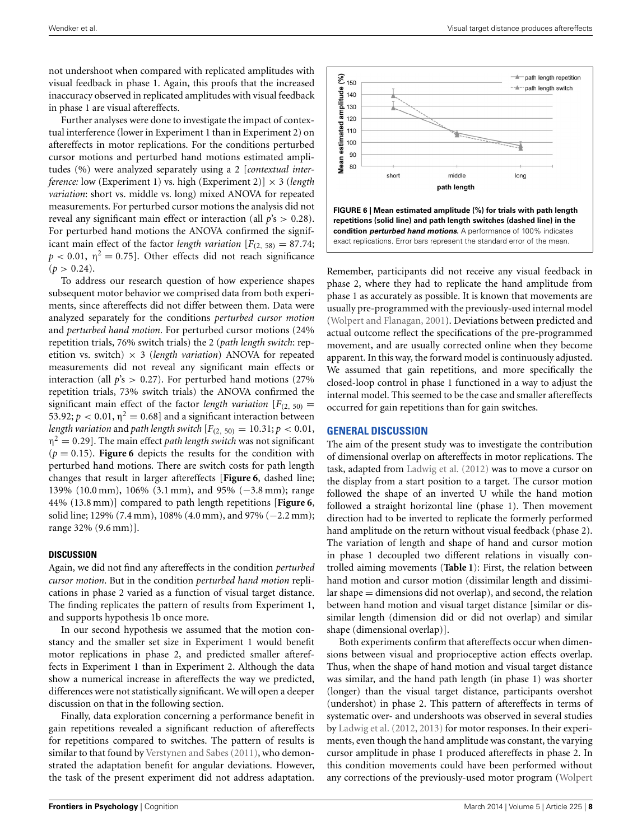not undershoot when compared with replicated amplitudes with visual feedback in phase 1. Again, this proofs that the increased inaccuracy observed in replicated amplitudes with visual feedback in phase 1 are visual aftereffects.

Further analyses were done to investigate the impact of contextual interference (lower in Experiment 1 than in Experiment 2) on aftereffects in motor replications. For the conditions perturbed cursor motions and perturbed hand motions estimated amplitudes (%) were analyzed separately using a 2 [*contextual interference:* low (Experiment 1) vs. high (Experiment 2)] × 3 (*length variation*: short vs. middle vs. long) mixed ANOVA for repeated measurements. For perturbed cursor motions the analysis did not reveal any significant main effect or interaction (all *p*'s > 0.28). For perturbed hand motions the ANOVA confirmed the significant main effect of the factor *length variation*  $[F_{(2, 58)} = 87.74;$  $p < 0.01$ ,  $\eta^2 = 0.75$ ]. Other effects did not reach significance  $(p > 0.24)$ .

To address our research question of how experience shapes subsequent motor behavior we comprised data from both experiments, since aftereffects did not differ between them. Data were analyzed separately for the conditions *perturbed cursor motion* and *perturbed hand motion*. For perturbed cursor motions (24% repetition trials, 76% switch trials) the 2 (*path length switch*: repetition vs. switch)  $\times$  3 (*length variation*) ANOVA for repeated measurements did not reveal any significant main effects or interaction (all  $p's > 0.27$ ). For perturbed hand motions (27%) repetition trials, 73% switch trials) the ANOVA confirmed the significant main effect of the factor *length variation*  $[F_{(2, 50)}]$ 53.92;  $p < 0.01$ ,  $\eta^2 = 0.68$ ] and a significant interaction between *length variation* and *path length switch*  $[F_{(2, 50)} = 10.31; p < 0.01$ ,  $\eta^2 = 0.29$ . The main effect *path length switch* was not significant  $(p = 0.15)$ . **[Figure 6](#page-7-0)** depicts the results for the condition with perturbed hand motions. There are switch costs for path length changes that result in larger aftereffects [**[Figure 6](#page-7-0)**, dashed line; 139% (10.0 mm), 106% (3.1 mm), and 95% (−3.8 mm); range 44% (13.8 mm)] compared to path length repetitions [**[Figure 6](#page-7-0)**, solid line; 129% (7.4 mm), 108% (4.0 mm), and 97% (−2.2 mm); range 32% (9.6 mm)].

#### **DISCUSSION**

Again, we did not find any aftereffects in the condition *perturbed cursor motion*. But in the condition *perturbed hand motion* replications in phase 2 varied as a function of visual target distance. The finding replicates the pattern of results from Experiment 1, and supports hypothesis 1b once more.

In our second hypothesis we assumed that the motion constancy and the smaller set size in Experiment 1 would benefit motor replications in phase 2, and predicted smaller aftereffects in Experiment 1 than in Experiment 2. Although the data show a numerical increase in aftereffects the way we predicted, differences were not statistically significant. We will open a deeper discussion on that in the following section.

Finally, data exploration concerning a performance benefit in gain repetitions revealed a significant reduction of aftereffects for repetitions compared to switches. The pattern of results is similar to that found by [Verstynen and Sabes](#page-9-17) [\(2011\)](#page-9-17), who demonstrated the adaptation benefit for angular deviations. However, the task of the present experiment did not address adaptation.



<span id="page-7-0"></span>Remember, participants did not receive any visual feedback in phase 2, where they had to replicate the hand amplitude from phase 1 as accurately as possible. It is known that movements are usually pre-programmed with the previously-used internal model [\(Wolpert and Flanagan](#page-9-11), [2001](#page-9-11)). Deviations between predicted and actual outcome reflect the specifications of the pre-programmed movement, and are usually corrected online when they become apparent. In this way, the forward model is continuously adjusted. We assumed that gain repetitions, and more specifically the closed-loop control in phase 1 functioned in a way to adjust the internal model. This seemed to be the case and smaller aftereffects occurred for gain repetitions than for gain switches.

## **GENERAL DISCUSSION**

The aim of the present study was to investigate the contribution of dimensional overlap on aftereffects in motor replications. The task, adapted from [Ladwig et al.](#page-9-9) [\(2012\)](#page-9-9) was to move a cursor on the display from a start position to a target. The cursor motion followed the shape of an inverted U while the hand motion followed a straight horizontal line (phase 1). Then movement direction had to be inverted to replicate the formerly performed hand amplitude on the return without visual feedback (phase 2). The variation of length and shape of hand and cursor motion in phase 1 decoupled two different relations in visually controlled aiming movements (**[Table 1](#page-2-0)**): First, the relation between hand motion and cursor motion (dissimilar length and dissimilar shape = dimensions did not overlap), and second, the relation between hand motion and visual target distance [similar or dissimilar length (dimension did or did not overlap) and similar shape (dimensional overlap)].

Both experiments confirm that aftereffects occur when dimensions between visual and proprioceptive action effects overlap. Thus, when the shape of hand motion and visual target distance was similar, and the hand path length (in phase 1) was shorter (longer) than the visual target distance, participants overshot (undershot) in phase 2. This pattern of aftereffects in terms of systematic over- and undershoots was observed in several studies by [Ladwig et al.](#page-9-9) [\(2012,](#page-9-9) [2013](#page-9-6)) for motor responses. In their experiments, even though the hand amplitude was constant, the varying cursor amplitude in phase 1 produced aftereffects in phase 2. In this condition movements could have been performed without any corrections of the previously-used motor program (Wolpert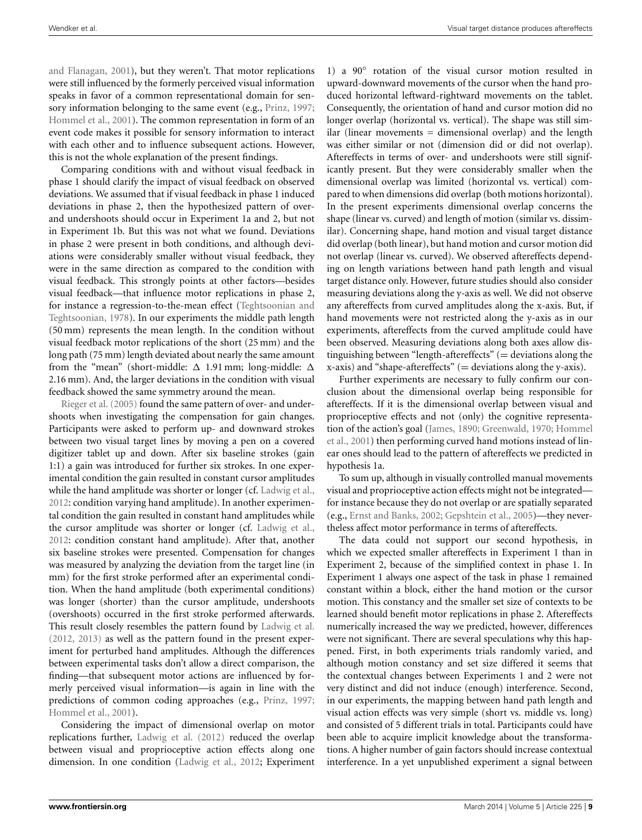and Flanagan, [2001](#page-9-11)), but they weren't. That motor replications were still influenced by the formerly perceived visual information speaks in favor of a common representational domain for sensory information belonging to the same event (e.g., [Prinz](#page-9-10), [1997;](#page-9-10) [Hommel et al., 2001](#page-9-2)). The common representation in form of an event code makes it possible for sensory information to interact with each other and to influence subsequent actions. However, this is not the whole explanation of the present findings.

Comparing conditions with and without visual feedback in phase 1 should clarify the impact of visual feedback on observed deviations. We assumed that if visual feedback in phase 1 induced deviations in phase 2, then the hypothesized pattern of overand undershoots should occur in Experiment 1a and 2, but not in Experiment 1b. But this was not what we found. Deviations in phase 2 were present in both conditions, and although deviations were considerably smaller without visual feedback, they were in the same direction as compared to the condition with visual feedback. This strongly points at other factors—besides visual feedback—that influence motor replications in phase 2, for instance [a regression-to-the-mean effect \(](#page-9-21)Teghtsoonian and Teghtsoonian, [1978\)](#page-9-21). In our experiments the middle path length (50 mm) represents the mean length. In the condition without visual feedback motor replications of the short (25 mm) and the long path (75 mm) length deviated about nearly the same amount from the "mean" (short-middle:  $\Delta$  1.91 mm; long-middle:  $\Delta$ 2.16 mm). And, the larger deviations in the condition with visual feedback showed the same symmetry around the mean.

[Rieger et al.](#page-9-18) [\(2005\)](#page-9-18) found the same pattern of over- and undershoots when investigating the compensation for gain changes. Participants were asked to perform up- and downward strokes between two visual target lines by moving a pen on a covered digitizer tablet up and down. After six baseline strokes (gain 1:1) a gain was introduced for further six strokes. In one experimental condition the gain resulted in constant cursor amplitudes while the hand amplitude was shorter or longer (cf. [Ladwig et al.,](#page-9-9) [2012](#page-9-9): condition varying hand amplitude). In another experimental condition the gain resulted in constant hand amplitudes while the cursor amplitude was shorter or longer (cf. [Ladwig et al.,](#page-9-9) [2012](#page-9-9): condition constant hand amplitude). After that, another six baseline strokes were presented. Compensation for changes was measured by analyzing the deviation from the target line (in mm) for the first stroke performed after an experimental condition. When the hand amplitude (both experimental conditions) was longer (shorter) than the cursor amplitude, undershoots (overshoots) occurred in the first stroke performed afterwards. This result closely resembles the pattern found by [Ladwig et al.](#page-9-9) [\(2012,](#page-9-9) [2013\)](#page-9-6) as well as the pattern found in the present experiment for perturbed hand amplitudes. Although the differences between experimental tasks don't allow a direct comparison, the finding—that subsequent motor actions are influenced by formerly perceived visual information—is again in line with the predictions of common coding approaches (e.g., [Prinz, 1997;](#page-9-10) [Hommel et al.](#page-9-2), [2001](#page-9-2)).

Considering the impact of dimensional overlap on motor replications further, [Ladwig et al.](#page-9-9) [\(2012](#page-9-9)) reduced the overlap between visual and proprioceptive action effects along one dimension. In one condition [\(Ladwig et al., 2012](#page-9-9); Experiment

1) a 90° rotation of the visual cursor motion resulted in upward-downward movements of the cursor when the hand produced horizontal leftward-rightward movements on the tablet. Consequently, the orientation of hand and cursor motion did no longer overlap (horizontal vs. vertical). The shape was still similar (linear movements  $=$  dimensional overlap) and the length was either similar or not (dimension did or did not overlap). Aftereffects in terms of over- and undershoots were still significantly present. But they were considerably smaller when the dimensional overlap was limited (horizontal vs. vertical) compared to when dimensions did overlap (both motions horizontal). In the present experiments dimensional overlap concerns the shape (linear vs. curved) and length of motion (similar vs. dissimilar). Concerning shape, hand motion and visual target distance did overlap (both linear), but hand motion and cursor motion did not overlap (linear vs. curved). We observed aftereffects depending on length variations between hand path length and visual target distance only. However, future studies should also consider measuring deviations along the y-axis as well. We did not observe any aftereffects from curved amplitudes along the x-axis. But, if hand movements were not restricted along the y-axis as in our experiments, aftereffects from the curved amplitude could have been observed. Measuring deviations along both axes allow distinguishing between "length-aftereffects"  $($  = deviations along the  $x$ -axis) and "shape-aftereffects" (= deviations along the y-axis).

Further experiments are necessary to fully confirm our conclusion about the dimensional overlap being responsible for aftereffects. If it is the dimensional overlap between visual and proprioceptive effects and not (only) the cognitive representation [of](#page-9-2) [the](#page-9-2) [action's](#page-9-2) [goal](#page-9-2) [\(James](#page-9-0)[,](#page-9-2) [1890](#page-9-0)[;](#page-9-2) [Greenwald](#page-9-1)[,](#page-9-2) [1970](#page-9-1)[;](#page-9-2) Hommel et al., [2001\)](#page-9-2) then performing curved hand motions instead of linear ones should lead to the pattern of aftereffects we predicted in hypothesis 1a.

To sum up, although in visually controlled manual movements visual and proprioceptive action effects might not be integrated for instance because they do not overlap or are spatially separated (e.g., [Ernst and Banks, 2002;](#page-9-22) [Gepshtein et al., 2005](#page-9-23))—they nevertheless affect motor performance in terms of aftereffects.

The data could not support our second hypothesis, in which we expected smaller aftereffects in Experiment 1 than in Experiment 2, because of the simplified context in phase 1. In Experiment 1 always one aspect of the task in phase 1 remained constant within a block, either the hand motion or the cursor motion. This constancy and the smaller set size of contexts to be learned should benefit motor replications in phase 2. Aftereffects numerically increased the way we predicted, however, differences were not significant. There are several speculations why this happened. First, in both experiments trials randomly varied, and although motion constancy and set size differed it seems that the contextual changes between Experiments 1 and 2 were not very distinct and did not induce (enough) interference. Second, in our experiments, the mapping between hand path length and visual action effects was very simple (short vs. middle vs. long) and consisted of 5 different trials in total. Participants could have been able to acquire implicit knowledge about the transformations. A higher number of gain factors should increase contextual interference. In a yet unpublished experiment a signal between